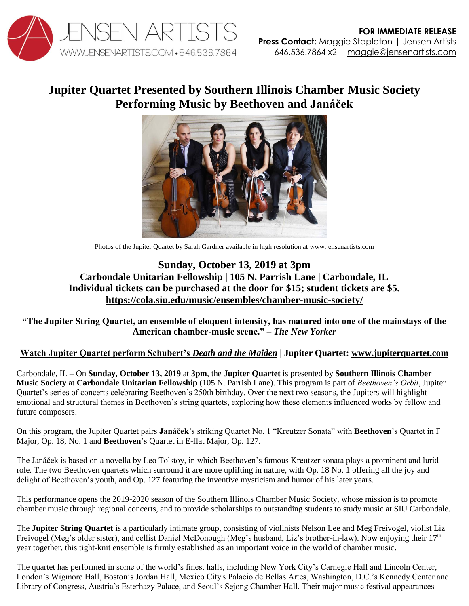

## **Jupiter Quartet Presented by Southern Illinois Chamber Music Society Performing Music by Beethoven and Janáček**



Photos of the Jupiter Quartet by Sarah Gardner available in high resolution at [www.jensenartists.com](http://www.jensenartists.com/)

## **Sunday, October 13, 2019 at 3pm Carbondale Unitarian Fellowship | 105 N. Parrish Lane | Carbondale, IL Individual tickets can be purchased at the door for \$15; student tickets are \$5. <https://cola.siu.edu/music/ensembles/chamber-music-society/>**

**"The Jupiter String Quartet, an ensemble of eloquent intensity, has matured into one of the mainstays of the American chamber-music scene." –** *The New Yorker*

## **[Watch Jupiter Quartet perform Schubert's](https://vimeo.com/115453429)** *Death and the Maiden* **| Jupiter Quartet: [www.jupiterquartet.com](http://www.jupiterquartet.com/)**

Carbondale, IL – On **Sunday, October 13, 2019** at **3pm**, the **Jupiter Quartet** is presented by **Southern Illinois Chamber Music Society** at **Carbondale Unitarian Fellowship** (105 N. Parrish Lane). This program is part of *Beethoven's Orbit*, Jupiter Quartet's series of concerts celebrating Beethoven's 250th birthday. Over the next two seasons, the Jupiters will highlight emotional and structural themes in Beethoven's string quartets, exploring how these elements influenced works by fellow and future composers.

On this program, the Jupiter Quartet pairs **Janáček**'s striking Quartet No. 1 "Kreutzer Sonata" with **Beethoven**'s Quartet in F Major, Op. 18, No. 1 and **Beethoven**'s Quartet in E-flat Major, Op. 127.

The Janáček is based on a novella by Leo Tolstoy, in which Beethoven's famous Kreutzer sonata plays a prominent and lurid role. The two Beethoven quartets which surround it are more uplifting in nature, with Op. 18 No. 1 offering all the joy and delight of Beethoven's youth, and Op. 127 featuring the inventive mysticism and humor of his later years.

This performance opens the 2019-2020 season of the Southern Illinois Chamber Music Society, whose mission is to promote chamber music through regional concerts, and to provide scholarships to outstanding students to study music at SIU Carbondale.

The **Jupiter String Quartet** is a particularly intimate group, consisting of violinists Nelson Lee and Meg Freivogel, violist Liz Freivogel (Meg's older sister), and cellist Daniel McDonough (Meg's husband, Liz's brother-in-law). Now enjoying their 17<sup>th</sup> year together, this tight-knit ensemble is firmly established as an important voice in the world of chamber music.

The quartet has performed in some of the world's finest halls, including New York City's Carnegie Hall and Lincoln Center, London's Wigmore Hall, Boston's Jordan Hall, Mexico City's Palacio de Bellas Artes, Washington, D.C.'s Kennedy Center and Library of Congress, Austria's Esterhazy Palace, and Seoul's Sejong Chamber Hall. Their major music festival appearances